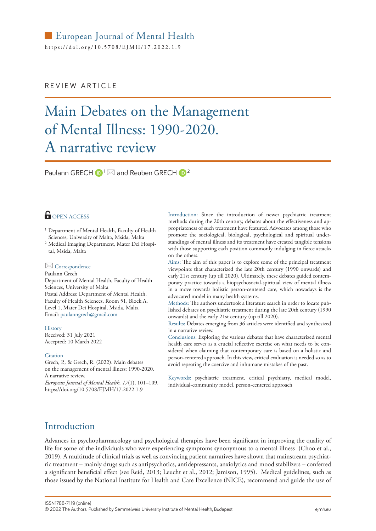# European Journal of Mental Health

https://[doi.org/10.5708/EJMH](https://doi.org/10.5708/EJMH/17.2022.1.9)/17.2022.1.9

### REVIEW ARTICLE

# Main Debates on the Management of Mental Illness: 1990-2020. A narrative review

[Paulann GRECH](https://orcid.org/0000-0001-5485-0893)  $\mathbb{D}^1 \boxtimes$  and Reuben GRECH  $\mathbb{D}^2$ 

### **OPEN ACCESS**

<sup>1</sup> Department of Mental Health, Faculty of Health Sciences, University of Malta, Msida, Malta

<sup>2</sup> Medical Imaging Department, Mater Dei Hospital, Msida, Malta

#### $\boxtimes$  Correspondence

Paulann Grech

Department of Mental Health, Faculty of Health Sciences, University of Malta Postal Address: Department of Mental Health, Faculty of Health Sciences, Room 51, Block A, Level 1, Mater Dei Hospital, Msida, Malta Email: [paulanngrech@gmail.com](mailto:paulanngrech%40gmail.com?subject=)

History Received: 31 July 2021 Accepted: 10 March 2022

#### **Citation**

Grech, P., & Grech, R. (2022). Main debates on the management of mental illness: 1990-2020. A narrative review.

*European Journal of Mental Health, 17*(1), 101–109. <https://doi.org/10.5708/EJMH/17.2022.1.9>

Introduction: Since the introduction of newer psychiatric treatment methods during the 20th century, debates about the effectiveness and appropriateness of such treatment have featured. Advocates among those who promote the sociological, biological, psychological and spiritual understandings of mental illness and its treatment have created tangible tensions with those supporting each position commonly indulging in fierce attacks on the others.

Aims: The aim of this paper is to explore some of the principal treatment viewpoints that characterized the late 20th century (1990 onwards) and early 21st century (up till 2020). Ultimately, these debates guided contemporary practice towards a biopsychosocial-spiritual view of mental illness in a move towards holistic person-centered care, which nowadays is the advocated model in many health systems.

Methods: The authors undertook a literature search in order to locate published debates on psychiatric treatment during the late 20th century (1990 onwards) and the early 21st century (up till 2020).

Results: Debates emerging from 36 articles were identified and synthesized in a narrative review.

Conclusions: Exploring the various debates that have characterized mental health care serves as a crucial reflective exercise on what needs to be considered when claiming that contemporary care is based on a holistic and person-centered approach. In this view, critical evaluation is needed so as to avoid repeating the coercive and inhumane mistakes of the past.

Keywords: psychiatric treatment, critical psychiatry, medical model, individual-community model, person-centered approach

# Introduction

Advances in psychopharmacology and psychological therapies have been significant in improving the quality of life for some of the individuals who were experiencing symptoms synonymous to a mental illness (Choo et al., 2019). A multitude of clinical trials as well as convincing patient narratives have shown that mainstream psychiatric treatment – mainly drugs such as antipsychotics, antidepressants, anxiolytics and mood stabilizers – conferred a significant beneficial effect (see Reid, 2013; Leucht et al., 2012; Jamison, 1995). Medical guidelines, such as those issued by the National Institute for Health and Care Excellence (NICE), recommend and guide the use of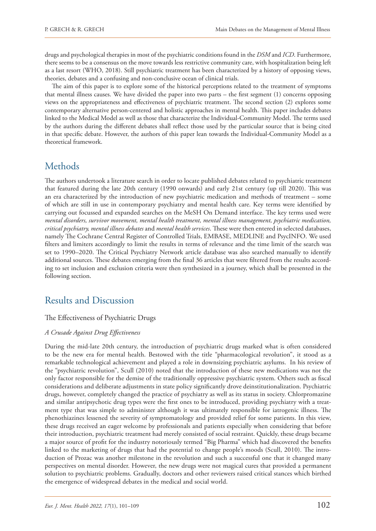drugs and psychological therapies in most of the psychiatric conditions found in the *DSM* and *ICD*. Furthermore, there seems to be a consensus on the move towards less restrictive community care, with hospitalization being left as a last resort (WHO, 2018). Still psychiatric treatment has been characterized by a history of opposing views, theories, debates and a confusing and non-conclusive ocean of clinical trials.

The aim of this paper is to explore some of the historical perceptions related to the treatment of symptoms that mental illness causes. We have divided the paper into two parts – the first segment (1) concerns opposing views on the appropriateness and effectiveness of psychiatric treatment. The second section (2) explores some contemporary alternative person-centered and holistic approaches in mental health. This paper includes debates linked to the Medical Model as well as those that characterize the Individual-Community Model. The terms used by the authors during the different debates shall reflect those used by the particular source that is being cited in that specific debate. However, the authors of this paper lean towards the Individual-Community Model as a theoretical framework.

# **Methods**

The authors undertook a literature search in order to locate published debates related to psychiatric treatment that featured during the late 20th century (1990 onwards) and early 21st century (up till 2020). This was an era characterized by the introduction of new psychiatric medication and methods of treatment – some of which are still in use in contemporary psychiatry and mental health care. Key terms were identified by carrying out focussed and expanded searches on the MeSH On Demand interface. The key terms used were *mental disorders, survivor movement, mental health treatment, mental illness management, psychiatric medication, critical psychiatry, mental illness debates* and *mental health services*. These were then entered in selected databases, namely The Cochrane Central Register of Controlled Trials, EMBASE, MEDLINE and PsycINFO. We used filters and limiters accordingly to limit the results in terms of relevance and the time limit of the search was set to 1990–2020. The Critical Psychiatry Network article database was also searched manually to identify additional sources. These debates emerging from the final 36 articles that were filtered from the results according to set inclusion and exclusion criteria were then synthesized in a journey, which shall be presented in the following section.

# Results and Discussion

### The Effectiveness of Psychiatric Drugs

### *A Crusade Against Drug Effectiveness*

During the mid-late 20th century, the introduction of psychiatric drugs marked what is often considered to be the new era for mental health. Bestowed with the title "pharmacological revolution", it stood as a remarkable technological achievement and played a role in downsizing psychiatric asylums. In his review of the "psychiatric revolution", Scull (2010) noted that the introduction of these new medications was not the only factor responsible for the demise of the traditionally oppressive psychiatric system. Others such as fiscal considerations and deliberate adjustments in state policy significantly drove deinstitutionalization. Psychiatric drugs, however, completely changed the practice of psychiatry as well as its status in society. Chlorpromazine and similar antipsychotic drug types were the first ones to be introduced, providing psychiatry with a treatment type that was simple to administer although it was ultimately responsible for iatrogenic illness. The phenothiazines lessened the severity of symptomatology and provided relief for some patients. In this view, these drugs received an eager welcome by professionals and patients especially when considering that before their introduction, psychiatric treatment had merely consisted of social restraint. Quickly, these drugs became a major source of profit for the industry notoriously termed "Big Pharma" which had discovered the benefits linked to the marketing of drugs that had the potential to change people's moods (Scull, 2010). The introduction of Prozac was another milestone in the revolution and such a successful one that it changed many perspectives on mental disorder. However, the new drugs were not magical cures that provided a permanent solution to psychiatric problems. Gradually, doctors and other reviewers raised critical stances which birthed the emergence of widespread debates in the medical and social world.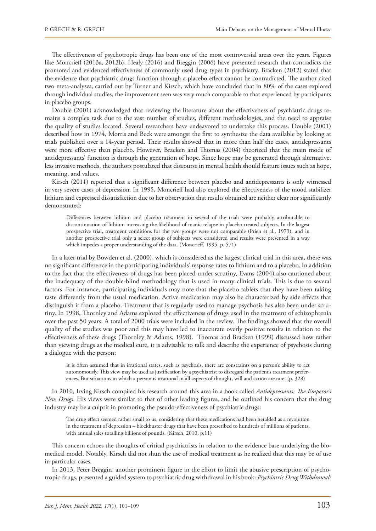The effectiveness of psychotropic drugs has been one of the most controversial areas over the years. Figures like Moncrieff (2013a, 2013b), Healy (2016) and Breggin (2006) have presented research that contradicts the promoted and evidenced effectiveness of commonly used drug types in psychiatry. Bracken (2012) stated that the evidence that psychiatric drugs function through a placebo effect cannot be contradicted. The author cited two meta-analyses, carried out by Turner and Kirsch, which have concluded that in 80% of the cases explored through individual studies, the improvement seen was very much comparable to that experienced by participants in placebo groups.

Double (2001) acknowledged that reviewing the literature about the effectiveness of psychiatric drugs remains a complex task due to the vast number of studies, different methodologies, and the need to appraise the quality of studies located. Several researchers have endeavored to undertake this process. Double (2001) described how in 1974, Morris and Beck were amongst the first to synthesize the data available by looking at trials published over a 14-year period. Their results showed that in more than half the cases, antidepressants were more effective than placebo. However, Bracken and Thomas (2004) theorized that the main mode of antidepressants' function is through the generation of hope. Since hope may be generated through alternative, less invasive methods, the authors postulated that discourse in mental health should feature issues such as hope, meaning, and values.

Kirsch (2011) reported that a significant difference between placebo and antidepressants is only witnessed in very severe cases of depression. In 1995, Moncrieff had also explored the effectiveness of the mood stabilizer lithium and expressed dissatisfaction due to her observation that results obtained are neither clear nor significantly demonstrated:

Differences between lithium and placebo treatment in several of the trials were probably attributable to discontinuation of lithium increasing the likelihood of manic relapse in placebo treated subjects. In the largest prospective trial, treatment conditions for the two groups were not comparable (Prien et al., 1973), and in another prospective trial only a select group of subjects were considered and results were presented in a way which impedes a proper understanding of the data. (Moncrieff, 1995, p. 571)

In a later trial by Bowden et al. (2000), which is considered as the largest clinical trial in this area, there was no significant difference in the participating individuals' response rates to lithium and to a placebo. In addition to the fact that the effectiveness of drugs has been placed under scrutiny, Evans (2004) also cautioned about the inadequacy of the double-blind methodology that is used in many clinical trials. This is due to several factors. For instance, participating individuals may note that the placebo tablets that they have been taking taste differently from the usual medication. Active medication may also be characterized by side effects that distinguish it from a placebo. Treatment that is regularly used to manage psychosis has also been under scrutiny. In 1998, Thornley and Adams explored the effectiveness of drugs used in the treatment of schizophrenia over the past 50 years. A total of 2000 trials were included in the review. The findings showed that the overall quality of the studies was poor and this may have led to inaccurate overly positive results in relation to the effectiveness of these drugs (Thornley & Adams, 1998). Thomas and Bracken (1999) discussed how rather than viewing drugs as the medical cure, it is advisable to talk and describe the experience of psychosis during a dialogue with the person:

It is often assumed that in irrational states, such as psychosis, there are constraints on a person's ability to act autonomously. This view may be used as justification by a psychiatrist to disregard the patient's treatment preferences. But situations in which a person is irrational in all aspects of thought, will and action are rare. (p. 328)

In 2010, Irving Kirsch compiled his research around this area in a book called *Antidepressants: The Emperor's New Drugs*. His views were similar to that of other leading figures, and he outlined his concern that the drug industry may be a culprit in promoting the pseudo-effectiveness of psychiatric drugs:

The drug effect seemed rather small to us, considering that these medications had been heralded as a revolution in the treatment of depression – blockbuster drugs that have been prescribed to hundreds of millions of patients, with annual sales totalling billions of pounds. (Kirsch, 2010, p.11)

This concern echoes the thoughts of critical psychiatrists in relation to the evidence base underlying the biomedical model. Notably, Kirsch did not shun the use of medical treatment as he realized that this may be of use in particular cases.

In 2013, Peter Breggin, another prominent figure in the effort to limit the abusive prescription of psychotropic drugs, presented a guided system to psychiatric drug withdrawal in his book: *Psychiatric Drug Withdrawal:*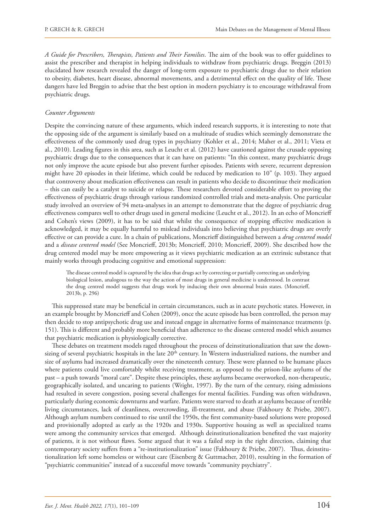*A Guide for Prescribers, Therapists, Patients and Their Families*. The aim of the book was to offer guidelines to assist the prescriber and therapist in helping individuals to withdraw from psychiatric drugs. Breggin (2013) elucidated how research revealed the danger of long-term exposure to psychiatric drugs due to their relation to obesity, diabetes, heart disease, abnormal movements, and a detrimental effect on the quality of life. These dangers have led Breggin to advise that the best option in modern psychiatry is to encourage withdrawal from psychiatric drugs.

#### *Counter Arguments*

Despite the convincing nature of these arguments, which indeed research supports, it is interesting to note that the opposing side of the argument is similarly based on a multitude of studies which seemingly demonstrate the effectiveness of the commonly used drug types in psychiatry (Kohler et al., 2014; Maher et al., 2011; Vieta et al., 2010). Leading figures in this area, such as Leucht et al. (2012) have cautioned against the crusade opposing psychiatric drugs due to the consequences that it can have on patients: "In this context, many psychiatric drugs not only improve the acute episode but also prevent further episodes. Patients with severe, recurrent depression might have 20 episodes in their lifetime, which could be reduced by medication to 10" (p. 103). They argued that controversy about medication effectiveness can result in patients who decide to discontinue their medication – this can easily be a catalyst to suicide or relapse. These researchers devoted considerable effort to proving the effectiveness of psychiatric drugs through various randomized controlled trials and meta-analysis. One particular study involved an overview of 94 meta-analyses in an attempt to demonstrate that the degree of psychiatric drug effectiveness compares well to other drugs used in general medicine (Leucht et al., 2012). In an echo of Moncrieff and Cohen's views (2009), it has to be said that whilst the consequence of stopping effective medication is acknowledged, it may be equally harmful to mislead individuals into believing that psychiatric drugs are overly effective or can provide a cure. In a chain of publications, Moncrieff distinguished between a *drug centered model* and a *disease centered model* (See Moncrieff, 2013b; Moncrieff, 2010; Moncrieff, 2009). She described how the drug centered model may be more empowering as it views psychiatric medication as an extrinsic substance that mainly works through producing cognitive and emotional suppression:

The disease centred model is captured by the idea that drugs act by correcting or partially correcting an underlying biological lesion, analogous to the way the action of most drugs in general medicine is understood. In contrast the drug centred model suggests that drugs work by inducing their own abnormal brain states. (Moncrieff, 2013b, p. 296)

This suppressed state may be beneficial in certain circumstances, such as in acute psychotic states. However, in an example brought by Moncrieff and Cohen (2009), once the acute episode has been controlled, the person may then decide to stop antipsychotic drug use and instead engage in alternative forms of maintenance treatments (p. 151). This is different and probably more beneficial than adherence to the disease centered model which assumes that psychiatric medication is physiologically corrective.

These debates on treatment models raged throughout the process of deinstitutionalization that saw the downsizing of several psychiatric hospitals in the late 20<sup>th</sup> century. In Western industrialized nations, the number and size of asylums had increased dramatically over the nineteenth century. These were planned to be humane places where patients could live comfortably whilst receiving treatment, as opposed to the prison-like asylums of the past – a push towards "moral care". Despite these principles, these asylums became overworked, non-therapeutic, geographically isolated, and uncaring to patients (Wright, 1997). By the turn of the century, rising admissions had resulted in severe congestion, posing several challenges for mental facilities. Funding was often withdrawn, particularly during economic downturns and warfare. Patients were starved to death at asylums because of terrible living circumstances, lack of cleanliness, overcrowding, ill-treatment, and abuse (Fakhoury & Priebe, 2007). Although asylum numbers continued to rise until the 1950s, the first community-based solutions were proposed and provisionally adopted as early as the 1920s and 1930s. Supportive housing as well as specialized teams were among the community services that emerged. Although deinstitutionalization benefited the vast majority of patients, it is not without flaws. Some argued that it was a failed step in the right direction, claiming that contemporary society suffers from a "re-institutionalization" issue (Fakhoury & Priebe, 2007). Thus, deinstitutionalization left some homeless or without care (Eisenberg & Guttmacher, 2010), resulting in the formation of "psychiatric communities" instead of a successful move towards "community psychiatry".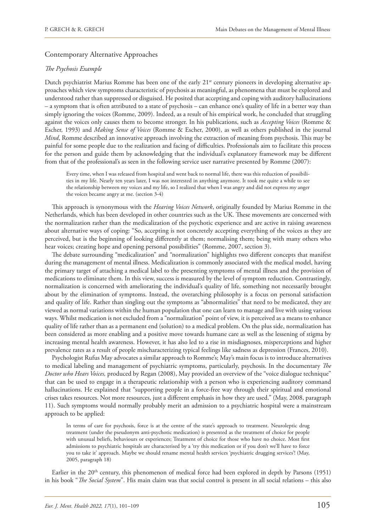### Contemporary Alternative Approaches

### *The Psychosis Example*

Dutch psychiatrist Marius Romme has been one of the early 21<sup>st</sup> century pioneers in developing alternative approaches which view symptoms characteristic of psychosis as meaningful, as phenomena that must be explored and understood rather than suppressed or disguised. He posited that accepting and coping with auditory hallucinations – a symptom that is often attributed to a state of psychosis – can enhance one's quality of life in a better way than simply ignoring the voices (Romme, 2009). Indeed, as a result of his empirical work, he concluded that struggling against the voices only causes them to become stronger. In his publications, such as *Accepting Voices* (Romme & Escher, 1993) and *Making Sense of Voices* (Romme & Escher, 2000), as well as others published in the journal *Mind*, Romme described an innovative approach involving the extraction of meaning from psychosis. This may be painful for some people due to the realization and facing of difficulties. Professionals aim to facilitate this process for the person and guide them by acknowledging that the individual's explanatory framework may be different from that of the professional's as seen in the following service user narrative presented by Romme (2007):

Every time, when I was released from hospital and went back to normal life, there was this reduction of possibilities in my life. Nearly ten years later, I was not interested in anything anymore. It took me quite a while to see the relationship between my voices and my life, so I realized that when I was angry and did not express my anger the voices became angry at me. (section 3-4)

This approach is synonymous with the *Hearing Voices Network*, originally founded by Marius Romme in the Netherlands, which has been developed in other countries such as the UK. These movements are concerned with the normalization rather than the medicalization of the psychotic experience and are active in raising awareness about alternative ways of coping: "So, accepting is not concretely accepting everything of the voices as they are perceived, but is the beginning of looking differently at them; normalising them; being with many others who hear voices; creating hope and opening personal possibilities" (Romme, 2007, section 3).

The debate surrounding "medicalization" and "normalization" highlights two different concepts that manifest during the management of mental illness. Medicalization is commonly associated with the medical model, having the primary target of attaching a medical label to the presenting symptoms of mental illness and the provision of medications to eliminate them. In this view, success is measured by the level of symptom reduction. Contrastingly, normalization is concerned with ameliorating the individual's quality of life, something not necessarily brought about by the elimination of symptoms. Instead, the overarching philosophy is a focus on personal satisfaction and quality of life. Rather than singling out the symptoms as "abnormalities" that need to be medicated, they are viewed as normal variations within the human population that one can learn to manage and live with using various ways. Whilst medication is not excluded from a "normalization" point of view, it is perceived as a means to enhance quality of life rather than as a permanent end (solution) to a medical problem. On the plus side, normalization has been considered as more enabling and a positive move towards humane care as well as the lessening of stigma by increasing mental health awareness. However, it has also led to a rise in misdiagnoses, misperceptions and higher prevalence rates as a result of people mischaracterizing typical feelings like sadness as depression (Frances, 2010).

Psychologist Rufus May advocates a similar approach to Romme's; May's main focus is to introduce alternatives to medical labeling and management of psychiatric symptoms, particularly, psychosis. In the documentary *The Doctor who Hears Voices,* produced by Regan (2008), May provided an overview of the "voice dialogue technique" that can be used to engage in a therapeutic relationship with a person who is experiencing auditory command hallucinations. He explained that "supporting people in a force-free way through their spiritual and emotional crises takes resources. Not more resources, just a different emphasis in how they are used." (May, 2008, paragraph 11). Such symptoms would normally probably merit an admission to a psychiatric hospital were a mainstream approach to be applied:

In terms of care for psychosis, force is at the centre of the state's approach to treatment. Neuroleptic drug treatment (under the pseudonym anti-psychotic medication) is presented as the treatment of choice for people with unusual beliefs, behaviours or experiences; Treatment of choice for those who have no choice. Most first admissions to psychiatric hospitals are characterised by a 'try this medication or if you don't we'll have to force you to take it' approach. Maybe we should rename mental health services 'psychiatric drugging services'! (May, 2005, paragraph 18)

Earlier in the 20<sup>th</sup> century, this phenomenon of medical force had been explored in depth by Parsons (1951) in his book "*The Social System*". His main claim was that social control is present in all social relations – this also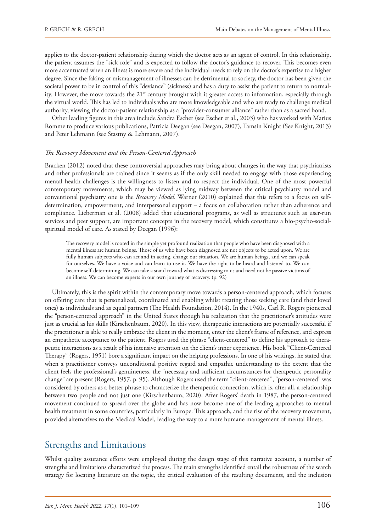applies to the doctor-patient relationship during which the doctor acts as an agent of control. In this relationship, the patient assumes the "sick role" and is expected to follow the doctor's guidance to recover. This becomes even more accentuated when an illness is more severe and the individual needs to rely on the doctor's expertise to a higher degree. Since the faking or mismanagement of illnesses can be detrimental to society, the doctor has been given the societal power to be in control of this "deviance" (sickness) and has a duty to assist the patient to return to normality. However, the move towards the 21<sup>st</sup> century brought with it greater access to information, especially through the virtual world. This has led to individuals who are more knowledgeable and who are ready to challenge medical authority, viewing the doctor-patient relationship as a "provider-consumer alliance" rather than as a sacred bond.

Other leading figures in this area include Sandra Escher (see Escher et al., 2003) who has worked with Marius Romme to produce various publications, Patricia Deegan (see Deegan, 2007), Tamsin Knight (See Knight, 2013) and Peter Lehmann (see Stastny & Lehmann, 2007).

#### *The Recovery Movement and the Person-Centered Approach*

Bracken (2012) noted that these controversial approaches may bring about changes in the way that psychiatrists and other professionals are trained since it seems as if the only skill needed to engage with those experiencing mental health challenges is the willingness to listen and to respect the individual. One of the most powerful contemporary movements, which may be viewed as lying midway between the critical psychiatry model and conventional psychiatry one is the *Recovery Model*. Warner (2010) explained that this refers to a focus on selfdetermination, empowerment, and interpersonal support – a focus on collaboration rather than adherence and compliance. Lieberman et al. (2008) added that educational programs, as well as structures such as user-run services and peer support, are important concepts in the recovery model, which constitutes a bio-psycho-socialspiritual model of care. As stated by Deegan (1996):

The recovery model is rooted in the simple yet profound realization that people who have been diagnosed with a mental illness are human beings. Those of us who have been diagnosed are not objects to be acted upon. We are fully human subjects who can act and in acting, change our situation. We are human beings, and we can speak for ourselves. We have a voice and can learn to use it. We have the right to be heard and listened to. We can become self-determining. We can take a stand toward what is distressing to us and need not be passive victims of an illness. We can become experts in our own journey of recovery. (p. 92)

Ultimately, this is the spirit within the contemporary move towards a person-centered approach, which focuses on offering care that is personalized, coordinated and enabling whilst treating those seeking care (and their loved ones) as individuals and as equal partners (The Health Foundation, 2014). In the 1940s, Carl R. Rogers pioneered the "person-centered approach" in the United States through his realization that the practitioner's attitudes were just as crucial as his skills (Kirschenbaum, 2020). In this view, therapeutic interactions are potentially successful if the practitioner is able to really embrace the client in the moment, enter the client's frame of reference, and express an empathetic acceptance to the patient. Rogers used the phrase "client-centered" to define his approach to therapeutic interactions as a result of his intensive attention on the client's inner experience. His book "Client-Centered Therapy" (Rogers, 1951) bore a significant impact on the helping professions. In one of his writings, he stated that when a practitioner conveys unconditional positive regard and empathic understanding to the extent that the client feels the professional's genuineness, the "necessary and sufficient circumstances for therapeutic personality change" are present (Rogers, 1957, p. 95). Although Rogers used the term "client-centered", "person-centered" was considered by others as a better phrase to characterize the therapeutic connection, which is, after all, a relationship between two people and not just one (Kirschenbaum, 2020). After Rogers' death in 1987, the person-centered movement continued to spread over the globe and has now become one of the leading approaches to mental health treatment in some countries, particularly in Europe. This approach, and the rise of the recovery movement, provided alternatives to the Medical Model, leading the way to a more humane management of mental illness.

# Strengths and Limitations

Whilst quality assurance efforts were employed during the design stage of this narrative account, a number of strengths and limitations characterized the process. The main strengths identified entail the robustness of the search strategy for locating literature on the topic, the critical evaluation of the resulting documents, and the inclusion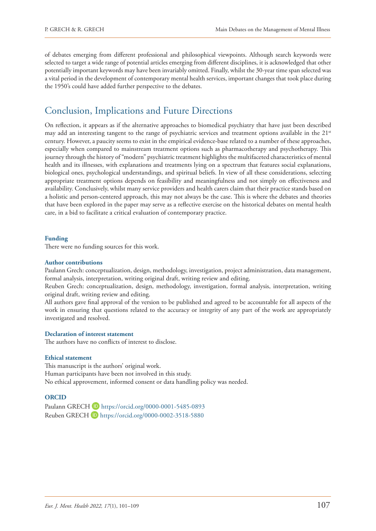of debates emerging from different professional and philosophical viewpoints. Although search keywords were selected to target a wide range of potential articles emerging from different disciplines, it is acknowledged that other potentially important keywords may have been invariably omitted. Finally, whilst the 30-year time span selected was a vital period in the development of contemporary mental health services, important changes that took place during the 1950's could have added further perspective to the debates.

# Conclusion, Implications and Future Directions

On reflection, it appears as if the alternative approaches to biomedical psychiatry that have just been described may add an interesting tangent to the range of psychiatric services and treatment options available in the 21<sup>st</sup> century. However, a paucity seems to exist in the empirical evidence-base related to a number of these approaches, especially when compared to mainstream treatment options such as pharmacotherapy and psychotherapy. This journey through the history of "modern" psychiatric treatment highlights the multifaceted characteristics of mental health and its illnesses, with explanations and treatments lying on a spectrum that features social explanations, biological ones, psychological understandings, and spiritual beliefs. In view of all these considerations, selecting appropriate treatment options depends on feasibility and meaningfulness and not simply on effectiveness and availability. Conclusively, whilst many service providers and health carers claim that their practice stands based on a holistic and person-centered approach, this may not always be the case. This is where the debates and theories that have been explored in the paper may serve as a reflective exercise on the historical debates on mental health care, in a bid to facilitate a critical evaluation of contemporary practice.

#### **Funding**

There were no funding sources for this work.

#### **Author contributions**

Paulann Grech: conceptualization, design, methodology, investigation, project administration, data management, formal analysis, interpretation, writing original draft, writing review and editing.

Reuben Grech: conceptualization, design, methodology, investigation, formal analysis, interpretation, writing original draft, writing review and editing.

All authors gave final approval of the version to be published and agreed to be accountable for all aspects of the work in ensuring that questions related to the accuracy or integrity of any part of the work are appropriately investigated and resolved.

### **Declaration of interest statement**

The authors have no conflicts of interest to disclose.

#### **Ethical statement**

This manuscript is the authors' original work. Human participants have been not involved in this study. No ethical approvement, informed consent or data handling policy was needed.

### **ORCID**

Paulann GRECH D <https://orcid.org/0000-0001-5485-0893> Reuben GRECH D <https://orcid.org/0000-0002-3518-5880>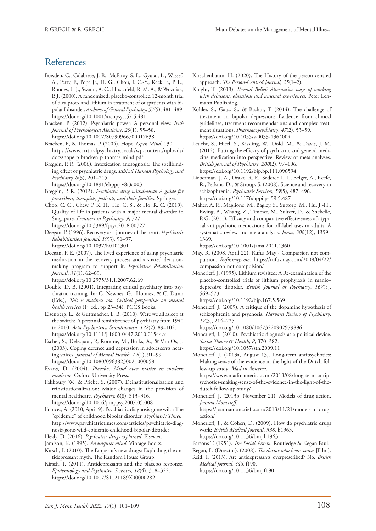# References

- Bowden, C., Calabrese, J. R., McElroy, S. L., Gyulai, L., Wassef, A., Petty, F., Pope Jr., H. G., Chou, J. C.-Y., Keck Jr., P. E., Rhodes, L. J., Swann, A. C., Hirschfeld, R. M. A., & Wozniak, P. J. (2000). A randomized, placebo-controlled 12-month trial of divalproex and lithium in treatment of outpatients with bipolar I disorder. *Archives of General Psychiatry*, *57*(5), 481–489. <https://doi.org/10.1001/archpsyc.57.5.481>
- Bracken, P. (2012). Psychiatric power: A personal view. *Irish Journal of Psychological Medicine*, *29*(1), 55–58. <https://doi.org/10.1017/S0790966700017638>
- Bracken, P., & Thomas, P. (2004). Hope. *Open Mind*, 130. [https://www.criticalpsychiatry.co.uk/wp-content/uploads/](https://www.criticalpsychiatry.co.uk/wp-content/uploads/docs/hope-p-bracken-p-thomas-mind.pdf) [docs/hope-p-bracken-p-thomas-mind.pdf](https://www.criticalpsychiatry.co.uk/wp-content/uploads/docs/hope-p-bracken-p-thomas-mind.pdf)
- Breggin, P. R. (2006). Intoxication anosognosia: The spellbinding effect of psychiatric drugs. *Ethical Human Psychology and Psychiatry, 8*(3), 201–215.
	- <https://doi.org/10.1891/ehppij-v8i3a003>
- Breggin, P. R. (2013). *Psychiatric drug withdrawal*: *A guide for prescribers, therapists, patients, and their families.* Springer.
- Choo, C. C., Chew, P. K. H., Ho, C. S., & Ho, R. C. (2019). Quality of life in patients with a major mental disorder in Singapore. *Frontiers in Psychiatry*, *9,* 727. <https://doi.org/10.3389/fpsyt.2018.00727>
- Deegan, P. (1996). Recovery as a journey of the heart. *Psychiatric Rehabilitation Journal. 19*(3), 91–97. <https://doi.org/10.1037/h0101301>
- Deegan, P. E. (2007). The lived experience of using psychiatric medication in the recovery process and a shared decisionmaking program to support it. *Psychiatric Rehabilitation Journal*, *31*(1), 62–69.

<https://doi.org/10.2975/31.1.2007.62.69>

- Double, D. B. (2001). Integrating critical psychiatry into psychiatric training. In: C. Newnes, G. Holmes, & C. Dunn (Eds.), *This is madness too: Critical perspectives on mental*  health services (1<sup>st</sup> ed., pp 23-34). PCCS Books.
- Eisenberg, L., & Guttmacher, L. B. (2010). Were we all asleep at the switch? A personal reminiscence of psychiatry from 1940 to 2010. *Acta Psychiatrica Scandinavica*, *122*(2), 89–102. <https://doi.org/10.1111/j.1600-0447.2010.01544.x>
- Escher, S., Delespaul, P., Romme, M., Buiks, A., & Van Os, J. (2003). Coping defence and depression in adolescents hearing voices. *Journal of Mental Health*, *12*(1), 91–99. <https://doi.org/10.1080/09638230021000058>
- Evans, D. (2004). *Placebo: Mind over matter in modern medicine*. Oxford University Press.
- Fakhoury, W., & Priebe, S. (2007). Deinstitutionalization and reinstitutionalization: Major changes in the provision of mental healthcare. *Psychiatry, 6*(8), 313–316. <https://doi.org/10.1016/j.mppsy.2007.05.008>
- Frances, A. (2010, April 9). Psychiatric diagnosis gone wild: The "epidemic" of childhood bipolar disorder. *Psychiatric Times.*  [http://www.psychiatrictimes.com/articles/psychiatric-diag](http://www.psychiatrictimes.com/articles/psychiatric-diagnosis-gone-wild-epidemic-childhood-bipolar-disorder)[nosis-gone-wild-epidemic-childhood-bipolar-disorder](http://www.psychiatrictimes.com/articles/psychiatric-diagnosis-gone-wild-epidemic-childhood-bipolar-disorder)
- Healy, D. (2016). *Psychiatric drugs explained*. Elsevier.
- Jamison, K. (1995). *An unquiet mind*. Vintage Books.
- Kirsch, I. (2010). The Emperor's new drugs: Exploding the antidepressant myth. The Random House Group.
- Kirsch, I. (2011). Antidepressants and the placebo response. *Epidemiology and Psychiatric Sciences*, *18*(4), 318–322. <https://doi.org/10.1017/S1121189X00000282>
- Kirschenbaum, H. (2020). The History of the person-centred approach. *The Person-Centred Journal, 25*(1–2).
- Knight, T. (2013). *Beyond Belief: Alternative ways of working with delusions, obsessions and unusual experiences*. Peter Lehmann Publishing.
- Kohler, S., Gaus, S., & Bschor, T. (2014). The challenge of treatment in bipolar depression: Evidence from clinical guidelines, treatment recommendations and complex treatment situations. *Pharmacopsychiatry*, *47*(2), 53–59. <https://doi.org/10.1055/s-0033-1364004>
- Leucht, S., Hierl, S., Kissling, W., Dold, M., & Davis, J. M. (2012). Putting the efficacy of psychiatric and general medicine medication into perspective: Review of meta-analyses. *British Journal of Psychiatry*, *200*(2), 97–106. <https://doi.org/10.1192/bjp.bp.111.096594>
- Lieberman, J. A., Drake, R. E., Sederer, L. I., Belger, A., Keefe, R., Perkins, D., & Stroup, S. (2008). Science and recovery in schizophrenia. *Psychiatric Services*, *59*(5), 487–496. <https://doi.org/10.1176/appi.ps.59.5.487>
- Maher, A. R., Maglione, M., Bagley, S., Suttorp, M., Hu, J.-H., Ewing, B., Whang, Z., Timmer, M., Sultzer, D., & Shekelle, P. G. (2011). Efficacy and comparative effectiveness of atypical antipsychotic medications for off-label uses in adults: A systematic review and meta-analysis. *Jama*, *306*(12), 1359– 1369.

<https://doi.org/10.1001/jama.2011.1360>

- May, R. (2008, April 22). Rufus May Compassion not compulsion. *Rufusmay.com.* [https://rufusmay.com/2008/04/22/](https://rufusmay.com/2008/04/22/compassion-not-compulsion/) [compassion-not-compulsion/](https://rufusmay.com/2008/04/22/compassion-not-compulsion/)
- Moncrieff, J. (1995). Lithium revisited: A Re-examination of the placebo-controlled trials of lithium prophylaxis in manic– depressive disorder. *British Journal of Psychiatry*, *167*(5), 569–573.

<https://doi.org/10.1192/bjp.167.5.569>

Moncrieff, J. (2009). A critique of the dopamine hypothesis of schizophrenia and psychosis. *Harvard Review of Psychiatry*, *17*(3), 214–225.

<https://doi.org/10.1080/10673220902979896>

Moncrieff, J. (2010). Psychiatric diagnosis as a political device. *Social Theory & Health*, *8*, 370–382.

<https://doi.org/10.1057/sth.2009.11> Moncrieff, J. (2013a, August 13). Long-term antipsychotics: Making sense of the evidence in the light of the Dutch fol-

low-up study*. Mad in America*. [https://www.madinamerica.com/2013/08/long-term-antip](https://www.madinamerica.com/2013/08/long-term-antipsychotics-making-sense-of-the-evidence-in-the-light-of-the-dutch-follow-up-study/)[sychotics-making-sense-of-the-evidence-in-the-light-of-the-](https://www.madinamerica.com/2013/08/long-term-antipsychotics-making-sense-of-the-evidence-in-the-light-of-the-dutch-follow-up-study/)

[dutch-follow-up-study/](https://www.madinamerica.com/2013/08/long-term-antipsychotics-making-sense-of-the-evidence-in-the-light-of-the-dutch-follow-up-study/) Moncrieff, J. (2013b, November 21). Models of drug action.

*Joanna Moncrieff*. [https://joannamoncrieff.com/2013/11/21/models-of-drug](https://joannamoncrieff.com/2013/11/21/models-of-drug-action/)[action/](https://joannamoncrieff.com/2013/11/21/models-of-drug-action/)

- Moncrieff, J., & Cohen, D. (2009). How do psychiatric drugs work? *British Medical Journal*, *338*, b1963. <https://doi.org/10.1136/bmj.b1963>
- Parsons T. (1951). *The Social System*. Routledge & Kegan Paul.
- Regan, L. (Director). (2008). *The doctor who hears voices* [Film].

Reid, I. (2013). Are antidepressants overprescribed? No. *British Medical Journal*, *346*, f190.

<https://doi.org/10.1136/bmj.f190>